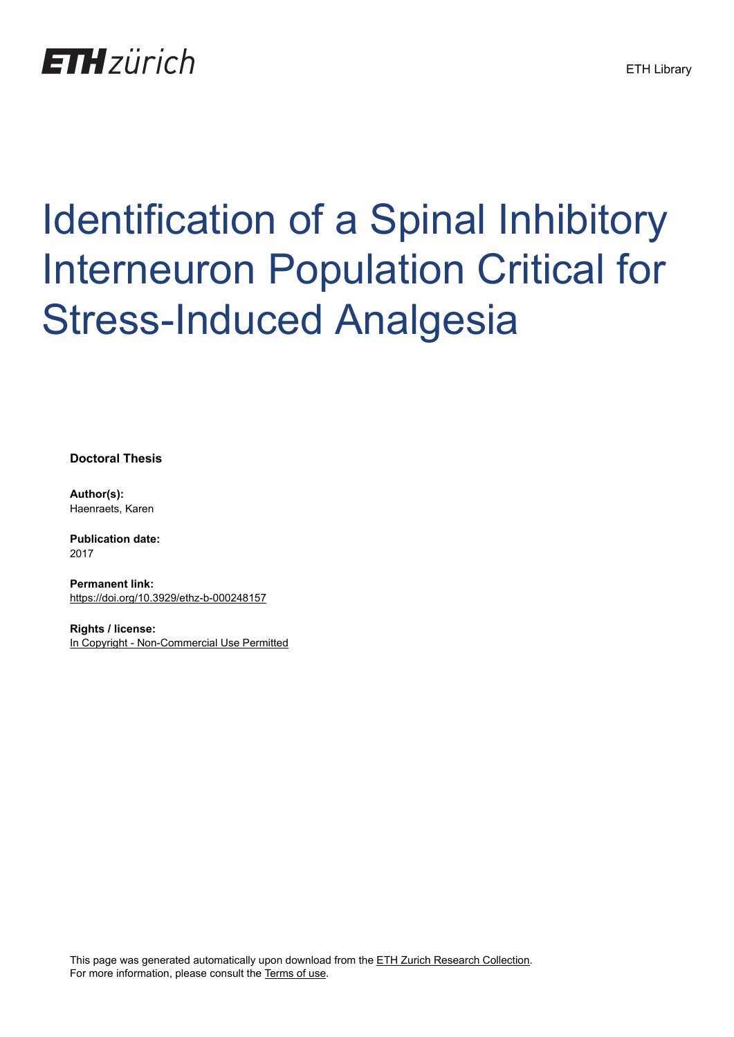

# Identification of a Spinal Inhibitory Interneuron Population Critical for Stress-Induced Analgesia

**Doctoral Thesis**

**Author(s):** Haenraets, Karen

**Publication date:** 2017

**Permanent link:** <https://doi.org/10.3929/ethz-b-000248157>

**Rights / license:** [In Copyright - Non-Commercial Use Permitted](http://rightsstatements.org/page/InC-NC/1.0/)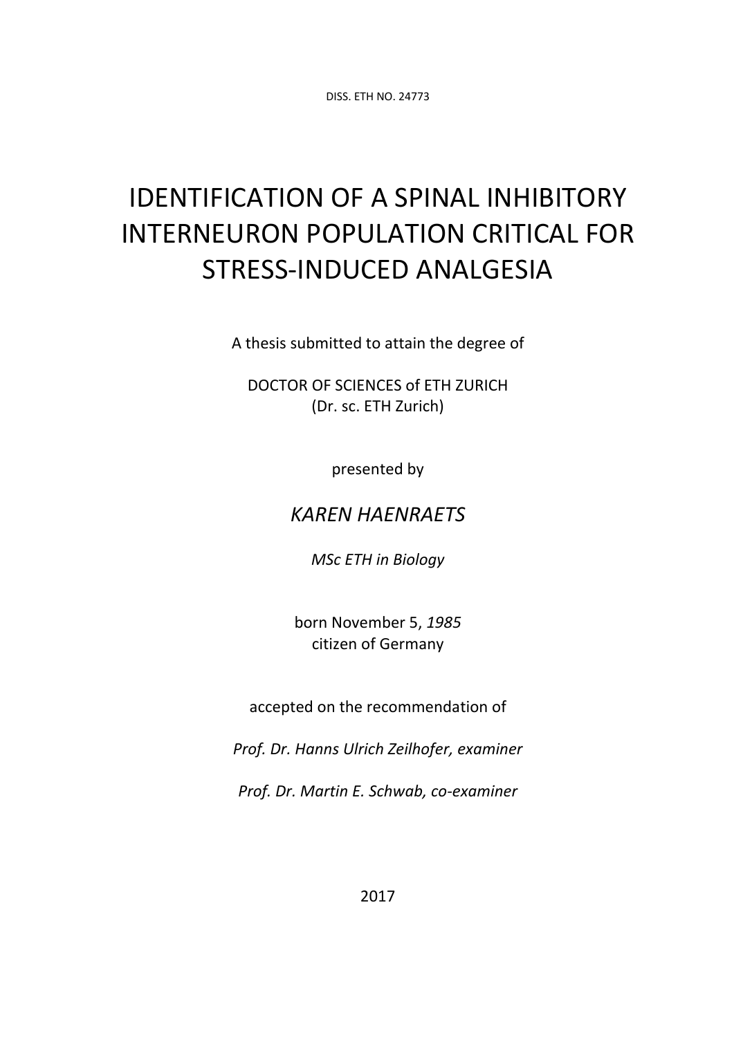DISS. ETH NO. 24773

# IDENTIFICATION OF A SPINAL INHIBITORY INTERNEURON POPULATION CRITICAL FOR STRESS‐INDUCED ANALGESIA

A thesis submitted to attain the degree of

DOCTOR OF SCIENCES of ETH ZURICH (Dr. sc. ETH Zurich)

presented by

## *KAREN HAENRAETS*

*MSc ETH in Biology*

born November 5, *1985* citizen of Germany

accepted on the recommendation of

*Prof. Dr. Hanns Ulrich Zeilhofer, examiner*

*Prof. Dr. Martin E. Schwab, co‐examiner*

2017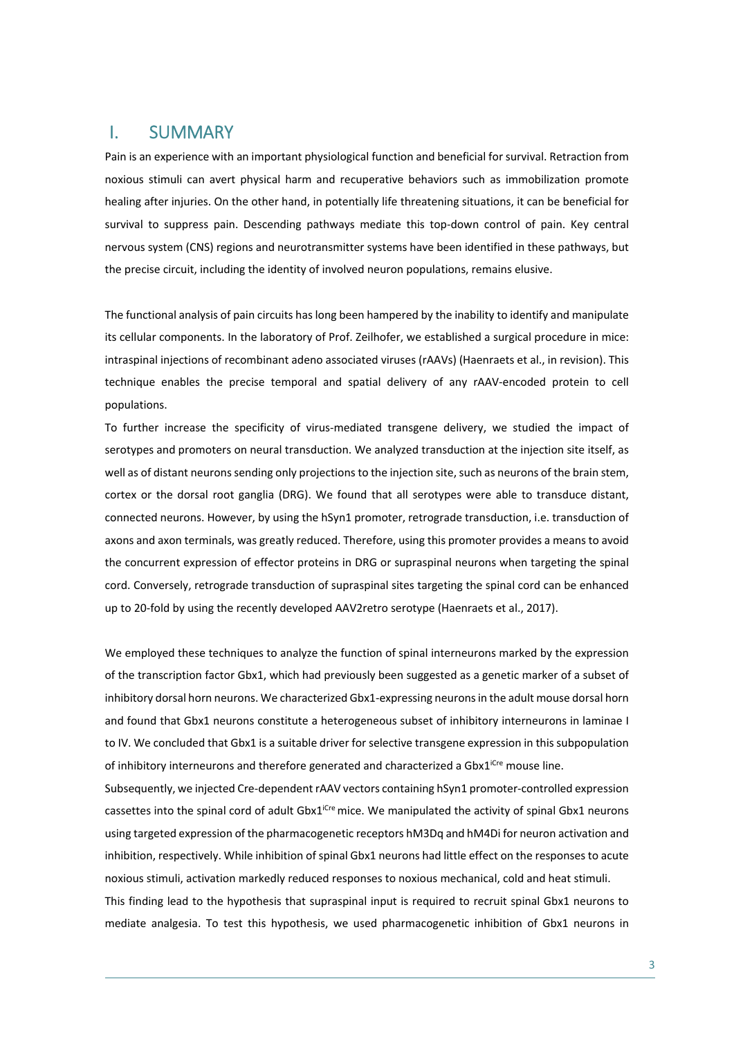#### I. SUMMARY

Pain is an experience with an important physiological function and beneficial for survival. Retraction from noxious stimuli can avert physical harm and recuperative behaviors such as immobilization promote healing after injuries. On the other hand, in potentially life threatening situations, it can be beneficial for survival to suppress pain. Descending pathways mediate this top-down control of pain. Key central nervous system (CNS) regions and neurotransmitter systems have been identified in these pathways, but the precise circuit, including the identity of involved neuron populations, remains elusive.

The functional analysis of pain circuits has long been hampered by the inability to identify and manipulate its cellular components. In the laboratory of Prof. Zeilhofer, we established a surgical procedure in mice: intraspinal injections of recombinant adeno associated viruses (rAAVs) (Haenraets et al., in revision). This technique enables the precise temporal and spatial delivery of any rAAV‐encoded protein to cell populations.

To further increase the specificity of virus‐mediated transgene delivery, we studied the impact of serotypes and promoters on neural transduction. We analyzed transduction at the injection site itself, as well as of distant neurons sending only projections to the injection site, such as neurons of the brain stem, cortex or the dorsal root ganglia (DRG). We found that all serotypes were able to transduce distant, connected neurons. However, by using the hSyn1 promoter, retrograde transduction, i.e. transduction of axons and axon terminals, was greatly reduced. Therefore, using this promoter provides a means to avoid the concurrent expression of effector proteins in DRG or supraspinal neurons when targeting the spinal cord. Conversely, retrograde transduction of supraspinal sites targeting the spinal cord can be enhanced up to 20‐fold by using the recently developed AAV2retro serotype (Haenraets et al., 2017).

We employed these techniques to analyze the function of spinal interneurons marked by the expression of the transcription factor Gbx1, which had previously been suggested as a genetic marker of a subset of inhibitory dorsal horn neurons. We characterized Gbx1‐expressing neuronsin the adult mouse dorsal horn and found that Gbx1 neurons constitute a heterogeneous subset of inhibitory interneurons in laminae I to IV. We concluded that Gbx1 is a suitable driver for selective transgene expression in this subpopulation of inhibitory interneurons and therefore generated and characterized a Gbx $1^{iCre}$  mouse line.

Subsequently, we injected Cre‐dependent rAAV vectors containing hSyn1 promoter‐controlled expression cassettes into the spinal cord of adult  $Gbx1^{\text{icre}}$  mice. We manipulated the activity of spinal Gbx1 neurons using targeted expression of the pharmacogenetic receptors hM3Dq and hM4Di for neuron activation and inhibition, respectively. While inhibition of spinal Gbx1 neurons had little effect on the responses to acute noxious stimuli, activation markedly reduced responses to noxious mechanical, cold and heat stimuli. This finding lead to the hypothesis that supraspinal input is required to recruit spinal Gbx1 neurons to mediate analgesia. To test this hypothesis, we used pharmacogenetic inhibition of Gbx1 neurons in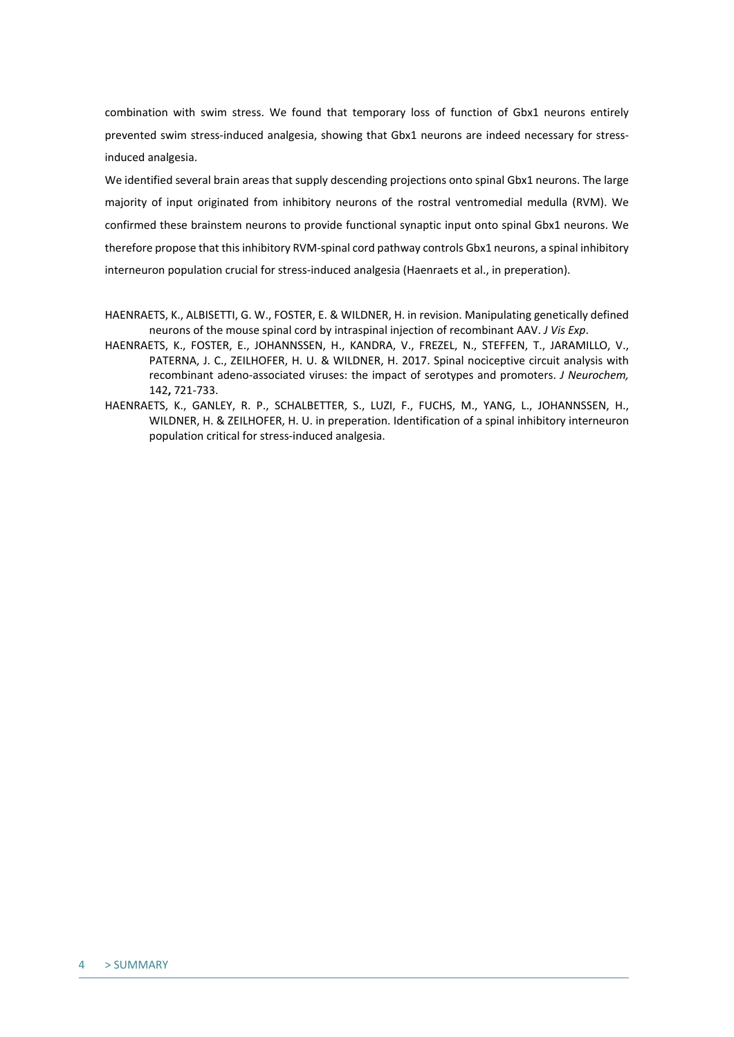combination with swim stress. We found that temporary loss of function of Gbx1 neurons entirely prevented swim stress-induced analgesia, showing that Gbx1 neurons are indeed necessary for stressinduced analgesia.

We identified several brain areas that supply descending projections onto spinal Gbx1 neurons. The large majority of input originated from inhibitory neurons of the rostral ventromedial medulla (RVM). We confirmed these brainstem neurons to provide functional synaptic input onto spinal Gbx1 neurons. We therefore propose that thisinhibitory RVM‐spinal cord pathway controls Gbx1 neurons, a spinal inhibitory interneuron population crucial for stress-induced analgesia (Haenraets et al., in preperation).

- HAENRAETS, K., FOSTER, E., JOHANNSSEN, H., KANDRA, V., FREZEL, N., STEFFEN, T., JARAMILLO, V., PATERNA, J. C., ZEILHOFER, H. U. & WILDNER, H. 2017. Spinal nociceptive circuit analysis with recombinant adeno‐associated viruses: the impact of serotypes and promoters. *J Neurochem,* 142**,** 721‐733.
- HAENRAETS, K., GANLEY, R. P., SCHALBETTER, S., LUZI, F., FUCHS, M., YANG, L., JOHANNSSEN, H., WILDNER, H. & ZEILHOFER, H. U. in preperation. Identification of a spinal inhibitory interneuron population critical for stress‐induced analgesia.

HAENRAETS, K., ALBISETTI, G. W., FOSTER, E. & WILDNER, H. in revision. Manipulating genetically defined neurons of the mouse spinal cord by intraspinal injection of recombinant AAV. *J Vis Exp*.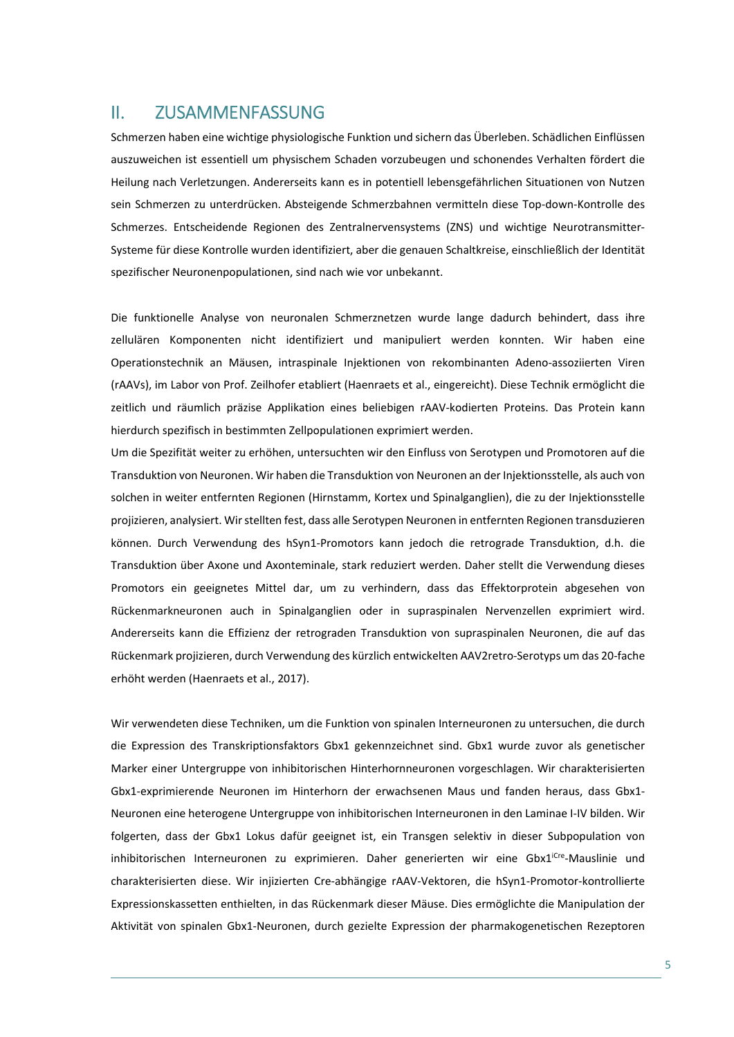### II. ZUSAMMENFASSUNG

Schmerzen haben eine wichtige physiologische Funktion und sichern das Überleben. Schädlichen Einflüssen auszuweichen ist essentiell um physischem Schaden vorzubeugen und schonendes Verhalten fördert die Heilung nach Verletzungen. Andererseits kann es in potentiell lebensgefährlichen Situationen von Nutzen sein Schmerzen zu unterdrücken. Absteigende Schmerzbahnen vermitteln diese Top‐down‐Kontrolle des Schmerzes. Entscheidende Regionen des Zentralnervensystems (ZNS) und wichtige Neurotransmitter‐ Systeme für diese Kontrolle wurden identifiziert, aber die genauen Schaltkreise, einschließlich der Identität spezifischer Neuronenpopulationen, sind nach wie vor unbekannt.

Die funktionelle Analyse von neuronalen Schmerznetzen wurde lange dadurch behindert, dass ihre zellulären Komponenten nicht identifiziert und manipuliert werden konnten. Wir haben eine Operationstechnik an Mäusen, intraspinale Injektionen von rekombinanten Adeno‐assoziierten Viren (rAAVs), im Labor von Prof. Zeilhofer etabliert (Haenraets et al., eingereicht). Diese Technik ermöglicht die zeitlich und räumlich präzise Applikation eines beliebigen rAAV-kodierten Proteins. Das Protein kann hierdurch spezifisch in bestimmten Zellpopulationen exprimiert werden.

Um die Spezifität weiter zu erhöhen, untersuchten wir den Einfluss von Serotypen und Promotoren auf die Transduktion von Neuronen. Wir haben die Transduktion von Neuronen an der Injektionsstelle, als auch von solchen in weiter entfernten Regionen (Hirnstamm, Kortex und Spinalganglien), die zu der Injektionsstelle projizieren, analysiert. Wirstellten fest, dass alle Serotypen Neuronen in entfernten Regionen transduzieren können. Durch Verwendung des hSyn1‐Promotors kann jedoch die retrograde Transduktion, d.h. die Transduktion über Axone und Axonteminale, stark reduziert werden. Daher stellt die Verwendung dieses Promotors ein geeignetes Mittel dar, um zu verhindern, dass das Effektorprotein abgesehen von Rückenmarkneuronen auch in Spinalganglien oder in supraspinalen Nervenzellen exprimiert wird. Andererseits kann die Effizienz der retrograden Transduktion von supraspinalen Neuronen, die auf das Rückenmark projizieren, durch Verwendung des kürzlich entwickelten AAV2retro‐Serotyps um das 20‐fache erhöht werden (Haenraets et al., 2017).

Wir verwendeten diese Techniken, um die Funktion von spinalen Interneuronen zu untersuchen, die durch die Expression des Transkriptionsfaktors Gbx1 gekennzeichnet sind. Gbx1 wurde zuvor als genetischer Marker einer Untergruppe von inhibitorischen Hinterhornneuronen vorgeschlagen. Wir charakterisierten Gbx1‐exprimierende Neuronen im Hinterhorn der erwachsenen Maus und fanden heraus, dass Gbx1‐ Neuronen eine heterogene Untergruppe von inhibitorischen Interneuronen in den Laminae I‐IV bilden. Wir folgerten, dass der Gbx1 Lokus dafür geeignet ist, ein Transgen selektiv in dieser Subpopulation von inhibitorischen Interneuronen zu exprimieren. Daher generierten wir eine Gbx1<sup>iCre</sup>-Mauslinie und charakterisierten diese. Wir injizierten Cre‐abhängige rAAV‐Vektoren, die hSyn1‐Promotor‐kontrollierte Expressionskassetten enthielten, in das Rückenmark dieser Mäuse. Dies ermöglichte die Manipulation der Aktivität von spinalen Gbx1‐Neuronen, durch gezielte Expression der pharmakogenetischen Rezeptoren